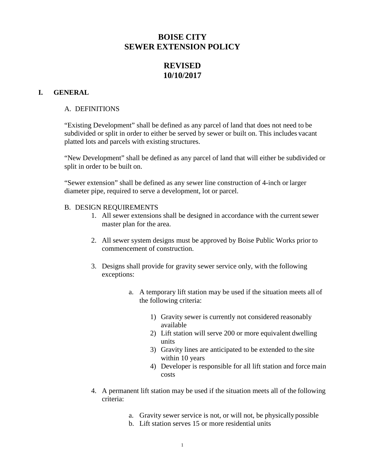# **BOISE CITY SEWER EXTENSION POLICY**

# **REVISED 10/10/2017**

### **I. GENERAL**

#### A. DEFINITIONS

"Existing Development" shall be defined as any parcel of land that does not need to be subdivided or split in order to either be served by sewer or built on. This includes vacant platted lots and parcels with existing structures.

"New Development" shall be defined as any parcel of land that will either be subdivided or split in order to be built on.

"Sewer extension" shall be defined as any sewer line construction of 4-inch or larger diameter pipe, required to serve a development, lot or parcel.

#### B. DESIGN REQUIREMENTS

- 1. All sewer extensions shall be designed in accordance with the current sewer master plan for the area.
- 2. All sewer system designs must be approved by Boise Public Works prior to commencement of construction.
- 3. Designs shall provide for gravity sewer service only, with the following exceptions:
	- a. A temporary lift station may be used if the situation meets all of the following criteria:
		- 1) Gravity sewer is currently not considered reasonably available
		- 2) Lift station will serve 200 or more equivalent dwelling units
		- 3) Gravity lines are anticipated to be extended to the site within 10 years
		- 4) Developer is responsible for all lift station and force main costs
- 4. A permanent lift station may be used if the situation meets all of the following criteria:
	- a. Gravity sewer service is not, or will not, be physically possible
	- b. Lift station serves 15 or more residential units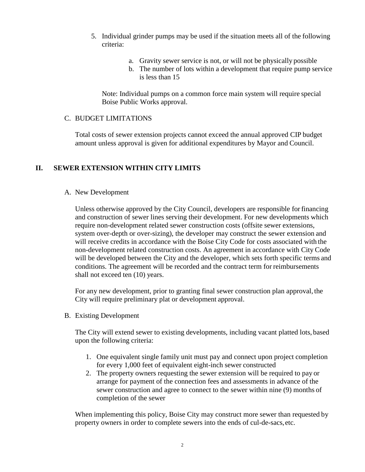- 5. Individual grinder pumps may be used if the situation meets all of the following criteria:
	- a. Gravity sewer service is not, or will not be physically possible
	- b. The number of lots within a development that require pump service is less than 15

Note: Individual pumps on a common force main system will require special Boise Public Works approval.

#### C. BUDGET LIMITATIONS

Total costs of sewer extension projects cannot exceed the annual approved CIP budget amount unless approval is given for additional expenditures by Mayor and Council.

## **II. SEWER EXTENSION WITHIN CITY LIMITS**

#### A. New Development

Unless otherwise approved by the City Council, developers are responsible forfinancing and construction of sewer lines serving their development. For new developments which require non-development related sewer construction costs (offsite sewer extensions, system over-depth or over-sizing), the developer may construct the sewer extension and will receive credits in accordance with the Boise City Code for costs associated with the non-development related construction costs. An agreement in accordance with City Code will be developed between the City and the developer, which sets forth specific terms and conditions. The agreement will be recorded and the contract term for reimbursements shall not exceed ten (10) years.

For any new development, prior to granting final sewer construction plan approval, the City will require preliminary plat or development approval.

B. Existing Development

The City will extend sewer to existing developments, including vacant platted lots, based upon the following criteria:

- 1. One equivalent single family unit must pay and connect upon project completion for every 1,000 feet of equivalent eight-inch sewer constructed
- 2. The property owners requesting the sewer extension will be required to pay or arrange for payment of the connection fees and assessments in advance of the sewer construction and agree to connect to the sewer within nine (9) months of completion of the sewer

When implementing this policy, Boise City may construct more sewer than requested by property owners in order to complete sewers into the ends of cul-de-sacs,etc.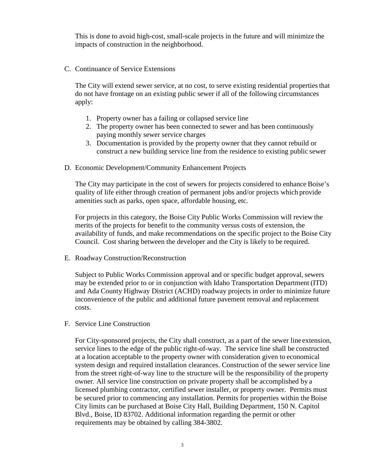This is done to avoid high-cost, small-scale projects in the future and will minimize the impacts of construction in the neighborhood.

C. Continuance of Service Extensions

The City will extend sewer service, at no cost, to serve existing residential properties that do not have frontage on an existing public sewer if all of the following circumstances apply:

- 1. Property owner has a failing or collapsed service line
- 2. The property owner has been connected to sewer and has been continuously paying monthly sewer service charges
- 3. Documentation is provided by the property owner that they cannot rebuild or construct a new building service line from the residence to existing public sewer
- D. Economic Development/Community Enhancement Projects

The City may participate in the cost of sewers for projects considered to enhance Boise's quality of life either through creation of permanent jobs and/or projects which provide amenities such as parks, open space, affordable housing, etc.

For projects in this category, the Boise City Public Works Commission will review the merits of the projects for benefit to the community versus costs of extension, the availability of funds, and make recommendations on the specific project to the Boise City Council. Cost sharing between the developer and the City is likely to be required.

E. Roadway Construction/Reconstruction

Subject to Public Works Commission approval and or specific budget approval, sewers may be extended prior to or in conjunction with Idaho Transportation Department (ITD) and Ada County Highway District (ACHD) roadway projects in order to minimize future inconvenience of the public and additional future pavement removal and replacement costs.

F. Service Line Construction

For City-sponsored projects, the City shall construct, as a part of the sewer line extension, service lines to the edge of the public right-of-way. The service line shall be constructed at a location acceptable to the property owner with consideration given to economical system design and required installation clearances. Construction of the sewer service line from the street right-of-way line to the structure will be the responsibility of the property owner. All service line construction on private property shall be accomplished by a licensed plumbing contractor, certified sewer installer, or property owner. Permits must be secured prior to commencing any installation. Permits for properties within the Boise City limits can be purchased at Boise City Hall, Building Department, 150 N. Capitol Blvd., Boise, ID 83702. Additional information regarding the permit or other requirements may be obtained by calling 384-3802.